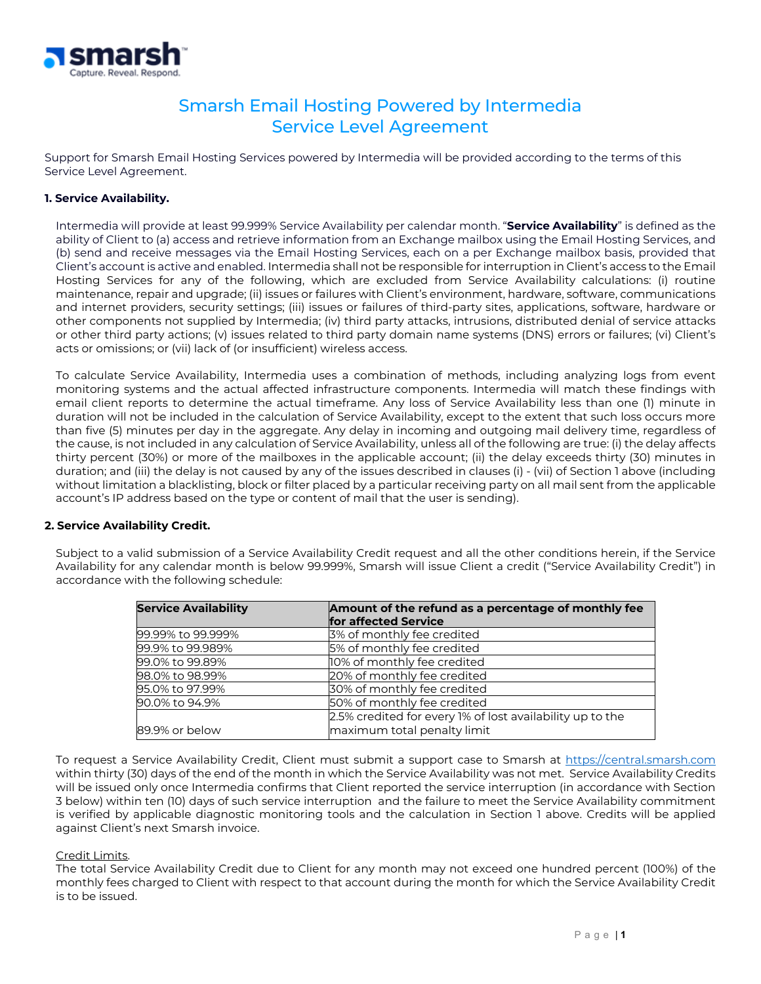

# Smarsh Email Hosting Powered by Intermedia Service Level Agreement

Support for Smarsh Email Hosting Services powered by Intermedia will be provided according to the terms of this Service Level Agreement.

## **1. Service Availability.**

Intermedia will provide at least 99.999% Service Availability per calendar month. "**Service Availability**" is defined as the ability of Client to (a) access and retrieve information from an Exchange mailbox using the Email Hosting Services, and (b) send and receive messages via the Email Hosting Services, each on a per Exchange mailbox basis, provided that Client's account is active and enabled. Intermedia shall not be responsible for interruption in Client's access to the Email Hosting Services for any of the following, which are excluded from Service Availability calculations: (i) routine maintenance, repair and upgrade; (ii) issues or failures with Client's environment, hardware, software, communications and internet providers, security settings; (iii) issues or failures of third-party sites, applications, software, hardware or other components not supplied by Intermedia; (iv) third party attacks, intrusions, distributed denial of service attacks or other third party actions; (v) issues related to third party domain name systems (DNS) errors or failures; (vi) Client's acts or omissions; or (vii) lack of (or insufficient) wireless access.

To calculate Service Availability, Intermedia uses a combination of methods, including analyzing logs from event monitoring systems and the actual affected infrastructure components. Intermedia will match these findings with email client reports to determine the actual timeframe. Any loss of Service Availability less than one (1) minute in duration will not be included in the calculation of Service Availability, except to the extent that such loss occurs more than five (5) minutes per day in the aggregate. Any delay in incoming and outgoing mail delivery time, regardless of the cause, is not included in any calculation of Service Availability, unless all of the following are true: (i) the delay affects thirty percent (30%) or more of the mailboxes in the applicable account; (ii) the delay exceeds thirty (30) minutes in duration; and (iii) the delay is not caused by any of the issues described in clauses (i) - (vii) of Section 1 above (including without limitation a blacklisting, block or filter placed by a particular receiving party on all mail sent from the applicable account's IP address based on the type or content of mail that the user is sending).

## **2. Service Availability Credit.**

Subject to a valid submission of a Service Availability Credit request and all the other conditions herein, if the Service Availability for any calendar month is below 99.999%, Smarsh will issue Client a credit ("Service Availability Credit") in accordance with the following schedule:

| <b>Service Availability</b> | Amount of the refund as a percentage of monthly fee<br>for affected Service |
|-----------------------------|-----------------------------------------------------------------------------|
|                             |                                                                             |
| 99.99% to 99.999%           | 3% of monthly fee credited                                                  |
| 99.9% to 99.989%            | 5% of monthly fee credited                                                  |
| 99.0% to 99.89%             | 10% of monthly fee credited                                                 |
| 98.0% to 98.99%             | 20% of monthly fee credited                                                 |
| 95.0% to 97.99%             | 30% of monthly fee credited                                                 |
| 90.0% to 94.9%              | 50% of monthly fee credited                                                 |
|                             | 2.5% credited for every 1% of lost availability up to the                   |
| 89.9% or below              | maximum total penalty limit                                                 |

To request a Service Availability Credit, Client must submit a support case to Smarsh at [https://central.smarsh.com](https://central.smarsh.com/) within thirty (30) days of the end of the month in which the Service Availability was not met. Service Availability Credits will be issued only once Intermedia confirms that Client reported the service interruption (in accordance with Section 3 below) within ten (10) days of such service interruption and the failure to meet the Service Availability commitment is verified by applicable diagnostic monitoring tools and the calculation in Section 1 above. Credits will be applied against Client's next Smarsh invoice.

## Credit Limits.

The total Service Availability Credit due to Client for any month may not exceed one hundred percent (100%) of the monthly fees charged to Client with respect to that account during the month for which the Service Availability Credit is to be issued.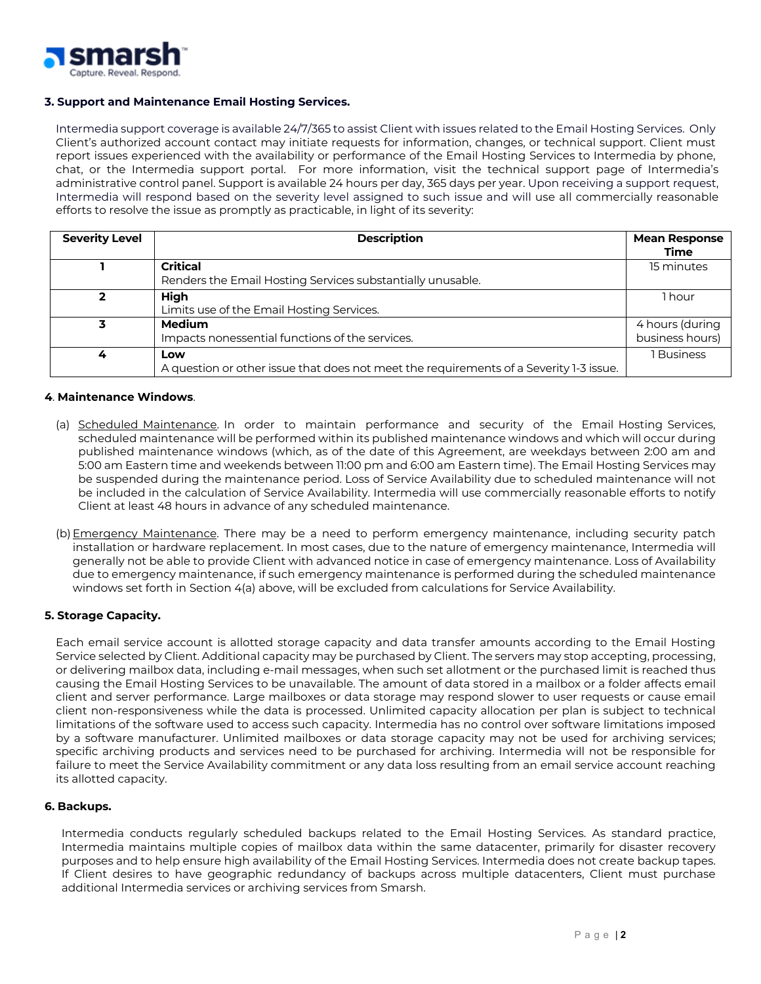

## **3. Support and Maintenance Email Hosting Services.**

Intermedia support coverage is available 24/7/365 to assist Client with issues related to the Email Hosting Services. Only Client's authorized account contact may initiate requests for information, changes, or technical support. Client must report issues experienced with the availability or performance of the Email Hosting Services to Intermedia by phone, chat, or the Intermedia support portal. For more information, visit the technical support page of Intermedia's administrative control panel. Support is available 24 hours per day, 365 days per year. Upon receiving a support request, Intermedia will respond based on the severity level assigned to such issue and will use all commercially reasonable efforts to resolve the issue as promptly as practicable, in light of its severity:

| <b>Severity Level</b> | <b>Description</b>                                                                     | <b>Mean Response</b><br>Time |
|-----------------------|----------------------------------------------------------------------------------------|------------------------------|
|                       | <b>Critical</b>                                                                        | 15 minutes                   |
|                       | Renders the Email Hosting Services substantially unusable.                             |                              |
|                       | <b>High</b>                                                                            | 1 hour                       |
|                       | Limits use of the Email Hosting Services.                                              |                              |
| 3                     | <b>Medium</b>                                                                          | 4 hours (during              |
|                       | Impacts nonessential functions of the services.                                        | business hours)              |
|                       | Low                                                                                    | <b>Business</b>              |
|                       | A question or other issue that does not meet the requirements of a Severity 1-3 issue. |                              |

## **4**. **Maintenance Windows**.

- (a) Scheduled Maintenance. In order to maintain performance and security of the Email Hosting Services, scheduled maintenance will be performed within its published maintenance windows and which will occur during published maintenance windows (which, as of the date of this Agreement, are weekdays between 2:00 am and 5:00 am Eastern time and weekends between 11:00 pm and 6:00 am Eastern time). The Email Hosting Services may be suspended during the maintenance period. Loss of Service Availability due to scheduled maintenance will not be included in the calculation of Service Availability. Intermedia will use commercially reasonable efforts to notify Client at least 48 hours in advance of any scheduled maintenance.
- (b) Emergency Maintenance. There may be a need to perform emergency maintenance, including security patch installation or hardware replacement. In most cases, due to the nature of emergency maintenance, Intermedia will generally not be able to provide Client with advanced notice in case of emergency maintenance. Loss of Availability due to emergency maintenance, if such emergency maintenance is performed during the scheduled maintenance windows set forth in Section 4(a) above, will be excluded from calculations for Service Availability.

## **5. Storage Capacity.**

Each email service account is allotted storage capacity and data transfer amounts according to the Email Hosting Service selected by Client. Additional capacity may be purchased by Client. The servers may stop accepting, processing, or delivering mailbox data, including e-mail messages, when such set allotment or the purchased limit is reached thus causing the Email Hosting Services to be unavailable. The amount of data stored in a mailbox or a folder affects email client and server performance. Large mailboxes or data storage may respond slower to user requests or cause email client non-responsiveness while the data is processed. Unlimited capacity allocation per plan is subject to technical limitations of the software used to access such capacity. Intermedia has no control over software limitations imposed by a software manufacturer. Unlimited mailboxes or data storage capacity may not be used for archiving services; specific archiving products and services need to be purchased for archiving. Intermedia will not be responsible for failure to meet the Service Availability commitment or any data loss resulting from an email service account reaching its allotted capacity.

## **6. Backups.**

Intermedia conducts regularly scheduled backups related to the Email Hosting Services. As standard practice, Intermedia maintains multiple copies of mailbox data within the same datacenter, primarily for disaster recovery purposes and to help ensure high availability of the Email Hosting Services. Intermedia does not create backup tapes. If Client desires to have geographic redundancy of backups across multiple datacenters, Client must purchase additional Intermedia services or archiving services from Smarsh.